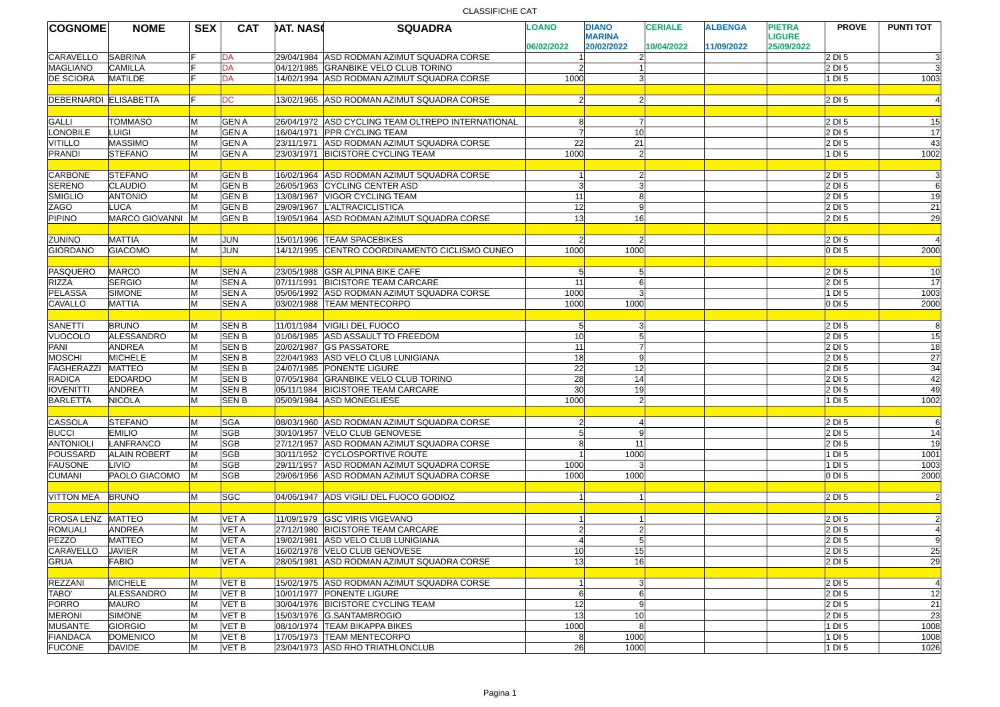## CLASSIFICHE CAT

| <b>COGNOME</b>        | <b>NOME</b>           | <b>SEX</b>              | <b>CAT</b>  | <b>DAT. NASC</b> | <b>SQUADRA</b>                                    | <b>LOANO</b>    | <b>DIANO</b>                | <b>CERIALE</b> | <b>ALBENGA</b> | <b>PIETRA</b>               | <b>PROVE</b>       | <b>PUNTI TOT</b> |
|-----------------------|-----------------------|-------------------------|-------------|------------------|---------------------------------------------------|-----------------|-----------------------------|----------------|----------------|-----------------------------|--------------------|------------------|
|                       |                       |                         |             |                  |                                                   | 06/02/2022      | <b>MARINA</b><br>20/02/2022 | 10/04/2022     | 11/09/2022     | <b>LIGURE</b><br>25/09/2022 |                    |                  |
| <b>CARAVELLO</b>      | <b>SABRINA</b>        |                         | DA          |                  | 29/04/1984 ASD RODMAN AZIMUT SQUADRA CORSE        |                 |                             |                |                |                             | 2DI5               | 3                |
| MAGLIANO              | <b>CAMILLA</b>        |                         | DA          |                  | 04/12/1985 GRANBIKE VELO CLUB TORINO              |                 |                             |                |                |                             | 2DI5               | $\overline{3}$   |
| <b>DE SCIORA</b>      | MATILDE               |                         | DA          |                  | 14/02/1994 ASD RODMAN AZIMUT SQUADRA CORSE        | 1000            |                             |                |                |                             | $1$ DI 5           | 1003             |
|                       |                       |                         |             |                  |                                                   |                 |                             |                |                |                             |                    |                  |
| DEBERNARDI ELISABETTA |                       |                         | <b>DC</b>   |                  | 13/02/1965 ASD RODMAN AZIMUT SQUADRA CORSE        |                 |                             |                |                |                             | $\vert$ 2 DI 5     | 4                |
|                       |                       |                         |             |                  |                                                   |                 |                             |                |                |                             |                    |                  |
| GALLI                 | <b>TOMMASO</b>        | M                       | <b>GENA</b> |                  | 26/04/1972 ASD CYCLING TEAM OLTREPO INTERNATIONAL |                 |                             |                |                |                             | $ 2$ DI 5          | 15               |
| <b>LONOBILE</b>       | <b>LUIGI</b>          | M                       | <b>GENA</b> |                  | 16/04/1971 PPR CYCLING TEAM                       |                 | 10                          |                |                |                             | $ 2$ DI 5          | $\overline{17}$  |
| VITILLO               | MASSIMO               | M                       | <b>GENA</b> |                  | 23/11/1971 ASD RODMAN AZIMUT SQUADRA CORSE        | 22              | 21                          |                |                |                             | 2DI5               | 43               |
| PRANDI                | <b>STEFANO</b>        | M                       | <b>GENA</b> |                  | 23/03/1971 BICISTORE CYCLING TEAM                 | 1000            | $\mathcal{D}$               |                |                |                             | 1D5                | 1002             |
|                       |                       |                         |             |                  |                                                   |                 |                             |                |                |                             |                    |                  |
| <b>CARBONE</b>        | <b>STEFANO</b>        | M                       | <b>GENB</b> |                  | 16/02/1964 ASD RODMAN AZIMUT SQUADRA CORSE        |                 |                             |                |                |                             | 2DI5               | 3                |
| <b>SERENO</b>         | CLAUDIO               | M                       | <b>GENB</b> |                  | 26/05/1963 CYCLING CENTER ASD                     |                 |                             |                |                |                             | 2DI5               | 6                |
| <b>SMIGLIO</b>        | <b>ANTONIO</b>        | M                       | <b>GENB</b> |                  | 13/08/1967 VIGOR CYCLING TEAM                     | 11              |                             |                |                |                             | 2DI5               | 19               |
| ZAGO                  | LUCA                  | M                       | <b>GENB</b> |                  | 29/09/1967 L'ALTRACICLISTICA                      | 12              |                             |                |                |                             | 2DI5               | 21               |
| <b>PIPINO</b>         | <b>MARCO GIOVANNI</b> | <b>IM</b>               | <b>GENB</b> |                  | 19/05/1964 ASD RODMAN AZIMUT SQUADRA CORSE        | $\overline{13}$ | 16                          |                |                |                             | $ 2$ DI 5          | 29               |
|                       |                       |                         |             |                  |                                                   |                 |                             |                |                |                             |                    |                  |
| <b>ZUNINO</b>         | MATTIA                |                         | <b>JUN</b>  |                  | 15/01/1996 TEAM SPACEBIKES                        |                 |                             |                |                |                             | 2DI <sub>5</sub>   | $\overline{4}$   |
| GIORDANO              | <b>GIACOMO</b>        | M                       | JUN         |                  | 14/12/1995 CENTRO COORDINAMENTO CICLISMO CUNEO    | 1000            | 1000                        |                |                |                             | $0$ DI 5           | 2000             |
|                       |                       |                         |             |                  |                                                   |                 |                             |                |                |                             |                    |                  |
| PASQUERO              | MARCO                 |                         | <b>SENA</b> |                  | 23/05/1988 GSR ALPINA BIKE CAFE                   |                 |                             |                |                |                             | 2 DI 5             | 10               |
| <b>RIZZA</b>          | SERGIO                | M                       | <b>SENA</b> |                  | 07/11/1991 BICISTORE TEAM CARCARE                 | 11              |                             |                |                |                             | 2DI5               | $\overline{17}$  |
| PELASSA               | SIMONE                | M                       | <b>SENA</b> |                  | 05/06/1992 ASD RODMAN AZIMUT SQUADRA CORSE        | 1000            |                             |                |                |                             | $1$ DI 5           | 1003             |
| <b>CAVALLO</b>        | MATTIA                | M                       | <b>SENA</b> |                  | 03/02/1988 TEAM MENTECORPO                        | 1000            | 1000                        |                |                |                             | 0 D1 5             | 2000             |
|                       |                       |                         |             |                  |                                                   |                 |                             |                |                |                             |                    |                  |
| SANETTI               | <b>BRUNO</b>          | M                       | <b>SENB</b> |                  | 11/01/1984 VIGILI DEL FUOCO                       |                 |                             |                |                |                             | 2DI5               | 8                |
| VUOCOLO               | ALESSANDRO            | M                       | <b>SENB</b> |                  | 01/06/1985 ASD ASSAULT TO FREEDOM                 | 10              |                             |                |                |                             | 2DI5               | 15               |
| PANI                  | ANDREA                | $\overline{\mathsf{N}}$ | <b>SENB</b> |                  | 20/02/1987 GS PASSATORE                           | 11              |                             |                |                |                             | 2DI5               | 18               |
| MOSCHI                | MICHELE               | M                       | <b>SENB</b> |                  | 22/04/1983 ASD VELO CLUB LUNIGIANA                | 18              |                             |                |                |                             | 2DI5               | 27               |
| FAGHERAZZI            | <b>MATTEO</b>         | M                       | <b>SENB</b> |                  | 24/07/1985 PONENTE LIGURE                         | $\overline{22}$ | 12                          |                |                |                             | 2DI5               | 34               |
| <b>RADICA</b>         | <b>EDOARDO</b>        | M                       | <b>SENB</b> | 07/05/1984       | <b>GRANBIKE VELO CLUB TORINO</b>                  | $\overline{28}$ | 14                          |                |                |                             | 2 DI 5             | 42               |
| <b>IOVENITTI</b>      | <b>ANDREA</b>         | M                       | <b>SENB</b> |                  | 05/11/1984 BICISTORE TEAM CARCARE                 | 30              | 19                          |                |                |                             | 2 DI 5             | 49               |
| <b>BARLETTA</b>       | <b>NICOLA</b>         | M                       | <b>SENB</b> |                  | 05/09/1984 ASD MONEGLIESE                         | 1000            |                             |                |                |                             | $ 1 \text{ DI } 5$ | 1002             |
|                       |                       |                         |             |                  |                                                   |                 |                             |                |                |                             |                    |                  |
| <b>CASSOLA</b>        | <b>STEFANO</b>        | M                       | <b>SGA</b>  |                  | 08/03/1960 ASD RODMAN AZIMUT SQUADRA CORSE        |                 |                             |                |                |                             | 2DI5               | 6                |
| <b>BUCCI</b>          | <b>EMILIO</b>         | M                       | <b>SGB</b>  |                  | 30/10/1957 VELO CLUB GENOVESE                     |                 | q                           |                |                |                             | 2DI5               | 14               |
| <b>ANTONIOLI</b>      | LANFRANCO             | M                       | <b>SGB</b>  |                  | 27/12/1957 ASD RODMAN AZIMUT SQUADRA CORSE        |                 | 11                          |                |                |                             | 2DI5               | 19               |
| POUSSARD              | <b>ALAIN ROBERT</b>   | M                       | <b>SGB</b>  |                  | 30/11/1952 CYCLOSPORTIVE ROUTE                    |                 | 1000                        |                |                |                             | 1D5                | 1001             |
| <b>FAUSONE</b>        | LIVIO                 | M                       | <b>SGB</b>  |                  | 29/11/1957 ASD RODMAN AZIMUT SQUADRA CORSE        | 1000            |                             |                |                |                             | 1D5                | 1003             |
| <b>CUMANI</b>         | PAOLO GIACOMO         | lм                      | <b>SGB</b>  |                  | 29/06/1956 ASD RODMAN AZIMUT SOUADRA CORSE        | 1000            | 1000                        |                |                |                             | 0 D1 5             | 2000             |
|                       |                       |                         |             |                  |                                                   |                 |                             |                |                |                             |                    |                  |
| <b>VITTON MEA</b>     | <b>BRUNO</b>          | M                       | <b>SGC</b>  |                  | 04/06/1947 ADS VIGILI DEL FUOCO GODIOZ            |                 |                             |                |                |                             | 2DI5               | $\overline{2}$   |
|                       |                       |                         |             |                  |                                                   |                 |                             |                |                |                             |                    |                  |
| CROSA LENZ            | MATTEO                | M                       | VET A       |                  | 11/09/1979 GSC VIRIS VIGEVANO                     |                 |                             |                |                |                             | 2DI5               |                  |
| <b>ROMUALI</b>        | <b>ANDREA</b>         | M                       | VET A       |                  | 27/12/1980 BICISTORE TEAM CARCARE                 |                 |                             |                |                |                             | 2DI5               | $\overline{4}$   |
| PEZZO                 | <b>MATTEO</b>         | M                       | <b>VETA</b> |                  | 19/02/1981 ASD VELO CLUB LUNIGIANA                |                 |                             |                |                |                             | 2DI5               | 9                |
| <b>CARAVELLO</b>      | <b>JAVIER</b>         | M                       | VET A       |                  | 16/02/1978 VELO CLUB GENOVESE                     | 10              | 15                          |                |                |                             | 2DI5               | 25               |
| <b>GRUA</b>           | FABIO                 | M                       | VET A       |                  | 28/05/1981 ASD RODMAN AZIMUT SQUADRA CORSE        | 13              | 16                          |                |                |                             | 2DI5               | 29               |
|                       |                       |                         |             |                  |                                                   |                 |                             |                |                |                             |                    |                  |
| REZZANI               | <b>MICHELE</b>        | M                       | VET B       |                  | 15/02/1975 ASD RODMAN AZIMUT SQUADRA CORSE        |                 |                             |                |                |                             | 2DI <sub>5</sub>   |                  |
| TABO'                 | ALESSANDRO            | M                       | VET B       |                  | 10/01/1977 PONENTE LIGURE                         |                 |                             |                |                |                             | 2DI5               | 4                |
|                       |                       |                         |             |                  |                                                   |                 |                             |                |                |                             | 2DI <sub>5</sub>   | 12               |
| PORRO                 | MAURO                 | M                       | VET B       |                  | 30/04/1976 BICISTORE CYCLING TEAM                 | 12              |                             |                |                |                             |                    | 21               |
| <b>MERONI</b>         | <b>SIMONE</b>         | M                       | VET B       |                  | 15/03/1976 G.SANTAMBROGIO                         | 13              | 10                          |                |                |                             | 2DI5               | 23               |
| <b>MUSANTE</b>        | GIORGIO               | M                       | VET B       |                  | 08/10/1974   TEAM BIKAPPA BIKES                   | 1000            |                             |                |                |                             | $1$ DI 5           | 1008             |
| FIANDACA              | <b>DOMENICO</b>       | M                       | VET B       |                  | 17/05/1973 TEAM MENTECORPO                        |                 | 1000                        |                |                |                             | $1$ DI 5           | 1008             |
| <b>FUCONE</b>         | <b>DAVIDE</b>         | M                       | VET B       |                  | 23/04/1973 ASD RHO TRIATHLONCLUB                  | 26              | 1000                        |                |                |                             | $1$ DI 5           | 1026             |